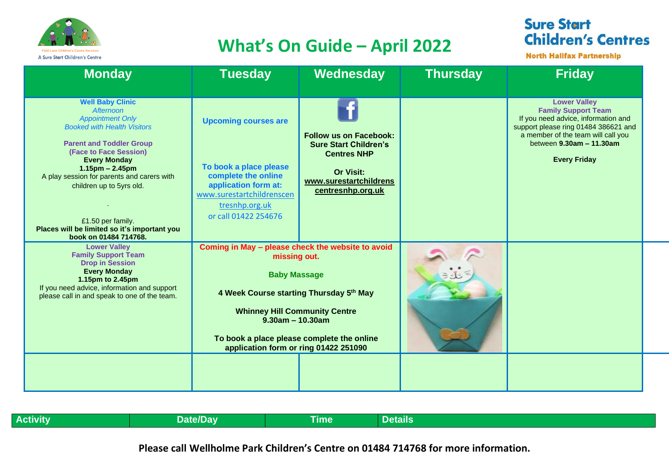

## **Field Lane Children's Centre Services**<br>A Sure Start Children's Centre Services

## **Sure Start Children's Centres**

**North Halifax Partnership** 

| <b>Monday</b>                                                                                                                                                                                                                                                                                                                                                                           | <b>Tuesday</b>                                                                                                                                                                                                                                                                           | Wednesday                                                                                                                                              | <b>Thursday</b> | <b>Friday</b>                                                                                                                                                                                                             |
|-----------------------------------------------------------------------------------------------------------------------------------------------------------------------------------------------------------------------------------------------------------------------------------------------------------------------------------------------------------------------------------------|------------------------------------------------------------------------------------------------------------------------------------------------------------------------------------------------------------------------------------------------------------------------------------------|--------------------------------------------------------------------------------------------------------------------------------------------------------|-----------------|---------------------------------------------------------------------------------------------------------------------------------------------------------------------------------------------------------------------------|
| <b>Well Baby Clinic</b><br>Afternoon<br><b>Appointment Only</b><br><b>Booked with Health Visitors</b><br><b>Parent and Toddler Group</b><br>(Face to Face Session)<br><b>Every Monday</b><br>$1.15$ pm – 2.45pm<br>A play session for parents and carers with<br>children up to 5yrs old.<br>£1.50 per family.<br>Places will be limited so it's important you<br>book on 01484 714768. | <b>Upcoming courses are</b><br>To book a place please<br>complete the online<br>application form at:<br>www.surestartchildrenscen<br>tresnhp.org.uk<br>or call 01422 254676                                                                                                              | <b>Follow us on Facebook:</b><br><b>Sure Start Children's</b><br><b>Centres NHP</b><br><b>Or Visit:</b><br>www.surestartchildrens<br>centresnhp.org.uk |                 | <b>Lower Valley</b><br><b>Family Support Team</b><br>If you need advice, information and<br>support please ring 01484 386621 and<br>a member of the team will call you<br>between 9.30am - 11.30am<br><b>Every Friday</b> |
| <b>Lower Valley</b><br><b>Family Support Team</b><br><b>Drop in Session</b><br><b>Every Monday</b><br>1.15pm to 2.45pm<br>If you need advice, information and support<br>please call in and speak to one of the team.                                                                                                                                                                   | Coming in May - please check the website to avoid<br>missing out.<br><b>Baby Massage</b><br>4 Week Course starting Thursday 5th May<br><b>Whinney Hill Community Centre</b><br>$9.30am - 10.30am$<br>To book a place please complete the online<br>application form or ring 01422 251090 |                                                                                                                                                        |                 |                                                                                                                                                                                                                           |
|                                                                                                                                                                                                                                                                                                                                                                                         |                                                                                                                                                                                                                                                                                          |                                                                                                                                                        |                 |                                                                                                                                                                                                                           |

| Activity | <b>Date/Dav</b> | --<br>īme | . .<br>Details |
|----------|-----------------|-----------|----------------|

**Please call Wellholme Park Children's Centre on 01484 714768 for more information.**